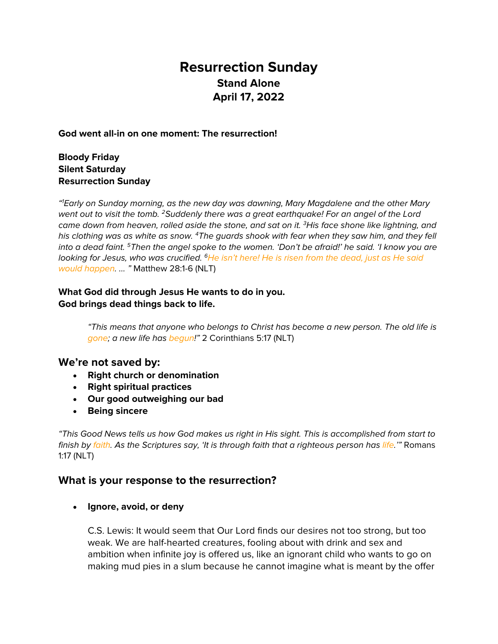# **Resurrection Sunday Stand Alone April 17, 2022**

#### **God went all-in on one moment: The resurrection!**

### **Bloody Friday Silent Saturday Resurrection Sunday**

*"1 Early on Sunday morning, as the new day was dawning, Mary Magdalene and the other Mary went out to visit the tomb. 2Suddenly there was a great earthquake! For an angel of the Lord came down from heaven, rolled aside the stone, and sat on it. 3His face shone like lightning, and his clothing was as white as snow. 4The guards shook with fear when they saw him, and they fell into a dead faint. 5Then the angel spoke to the women. 'Don't be afraid!' he said. 'I know you are looking for Jesus, who was crucified. 6He isn't here! He is risen from the dead, just as He said would happen. … "* Matthew 28:1-6 (NLT)

### **What God did through Jesus He wants to do in you. God brings dead things back to life.**

*"This means that anyone who belongs to Christ has become a new person. The old life is gone; a new life has begun!"* 2 Corinthians 5:17 (NLT)

#### **We're not saved by:**

- **Right church or denomination**
- **Right spiritual practices**
- **Our good outweighing our bad**
- **Being sincere**

*"This Good News tells us how God makes us right in His sight. This is accomplished from start to finish by faith. As the Scriptures say, 'It is through faith that a righteous person has life.'"* Romans 1:17 (NLT)

## **What is your response to the resurrection?**

• **Ignore, avoid, or deny**

C.S. Lewis: It would seem that Our Lord finds our desires not too strong, but too weak. We are half-hearted creatures, fooling about with drink and sex and ambition when infinite joy is offered us, like an ignorant child who wants to go on making mud pies in a slum because he cannot imagine what is meant by the offer